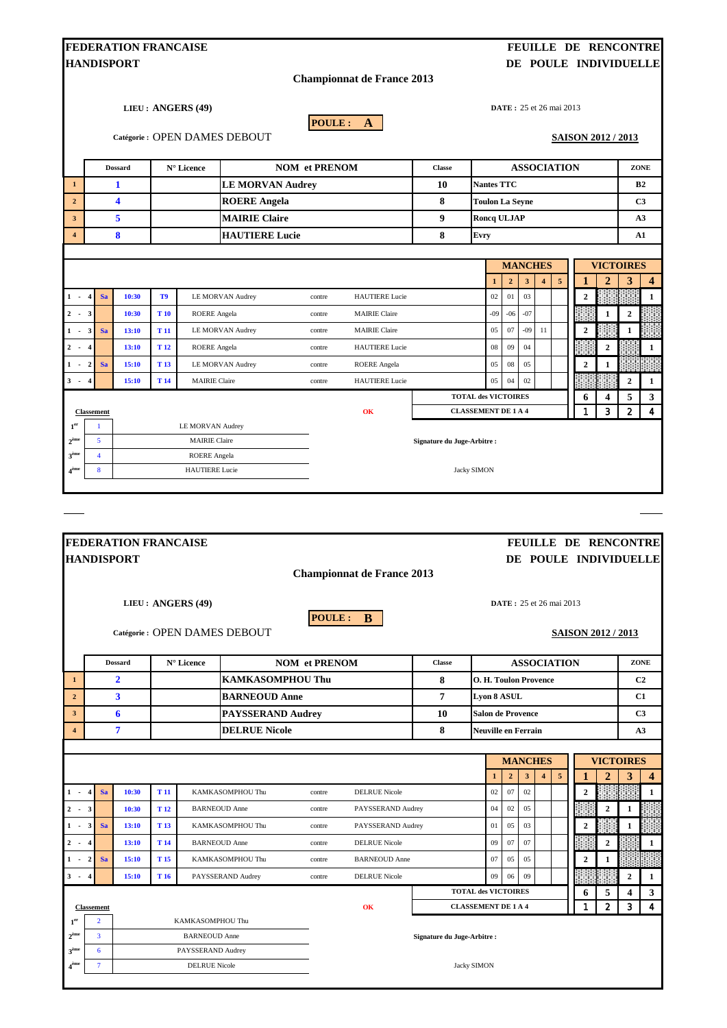| <b>FEDERATION FRANCAISE</b><br>FEUILLE DE RENCONTRE                                                                            |                                                    |                                                |                 |                       |                         |                      |                                   |                                         |                            |                |                |                         |            |                             |                  |                  |              |  |
|--------------------------------------------------------------------------------------------------------------------------------|----------------------------------------------------|------------------------------------------------|-----------------|-----------------------|-------------------------|----------------------|-----------------------------------|-----------------------------------------|----------------------------|----------------|----------------|-------------------------|------------|-----------------------------|------------------|------------------|--------------|--|
| DE POULE INDIVIDUELLE<br><b>HANDISPORT</b>                                                                                     |                                                    |                                                |                 |                       |                         |                      |                                   |                                         |                            |                |                |                         |            |                             |                  |                  |              |  |
| <b>Championnat de France 2013</b>                                                                                              |                                                    |                                                |                 |                       |                         |                      |                                   |                                         |                            |                |                |                         |            |                             |                  |                  |              |  |
| LIEU: ANGERS (49)<br><b>DATE</b> : 25 et 26 mai 2013<br>POULE: A<br>Catégorie : OPEN DAMES DEBOUT<br><b>SAISON 2012 / 2013</b> |                                                    |                                                |                 |                       |                         |                      |                                   |                                         |                            |                |                |                         |            |                             |                  |                  |              |  |
|                                                                                                                                |                                                    | <b>Dossard</b>                                 |                 | N° Licence            |                         | <b>NOM</b> et PRENOM |                                   |                                         |                            | ZONE           |                |                         |            |                             |                  |                  |              |  |
| $\mathbf{1}$                                                                                                                   | <b>LE MORVAN Audrey</b><br>1                       |                                                |                 |                       |                         |                      |                                   | <b>ASSOCIATION</b><br><b>Nantes TTC</b> |                            |                |                |                         |            |                             |                  | B <sub>2</sub>   |              |  |
| $\overline{2}$                                                                                                                 |                                                    | 4                                              |                 |                       | <b>ROERE</b> Angela     |                      |                                   | 8                                       | <b>Toulon La Seyne</b>     |                |                |                         |            |                             | C3               |                  |              |  |
| $\mathbf{3}$                                                                                                                   |                                                    | 5                                              |                 |                       | <b>MAIRIE Claire</b>    |                      |                                   | 9                                       | Roncq ULJAP                |                |                |                         |            |                             |                  | A3               |              |  |
| $\overline{4}$                                                                                                                 |                                                    | 8                                              |                 |                       | <b>HAUTIERE Lucie</b>   |                      |                                   | 8                                       | Evry                       |                |                |                         |            |                             |                  |                  | A1           |  |
|                                                                                                                                |                                                    |                                                |                 |                       |                         |                      |                                   |                                         |                            |                |                |                         |            |                             |                  |                  |              |  |
|                                                                                                                                |                                                    |                                                |                 |                       |                         |                      |                                   |                                         |                            |                | <b>MANCHES</b> |                         |            |                             |                  | <b>VICTOIRES</b> |              |  |
|                                                                                                                                |                                                    |                                                |                 |                       |                         |                      |                                   |                                         | $\mathbf{1}$               | $\overline{2}$ | $\mathbf{3}$   | $\overline{\mathbf{4}}$ | $\sqrt{5}$ |                             | $\overline{2}$   | 3                | 4            |  |
| $1 \div 4$                                                                                                                     | <b>Sa</b>                                          | 10:30                                          | T9              |                       | LE MORVAN Audrey        | contre               | <b>HAUTIERE</b> Lucie             |                                         | $02\,$                     | 01             | 03             |                         |            | $\overline{2}$              |                  |                  | $\mathbf{1}$ |  |
| $2 \div 3$                                                                                                                     |                                                    | 10:30                                          | <b>T</b> 10     | <b>ROERE</b> Angela   |                         | contre               | <b>MAIRIE Claire</b>              |                                         | $-09$                      | $-06$          | $-07$          |                         |            |                             | 1                | $\mathbf{2}$     |              |  |
| $1 -$                                                                                                                          | Sa<br>3                                            | 13:10                                          | T <sub>11</sub> |                       | LE MORVAN Audrey        | contre               | <b>MAIRIE Claire</b>              |                                         | 05                         | 07             | $-09$          | 11                      |            | $\overline{2}$              |                  | $\mathbf{1}$     |              |  |
| $2 -$                                                                                                                          | $\overline{\mathbf{4}}$                            | 13:10                                          | T <sub>12</sub> | <b>ROERE</b> Angela   |                         | contre               | <b>HAUTIERE</b> Lucie             |                                         | 08                         | 09             | 04             |                         |            |                             | $\boldsymbol{2}$ |                  | 1            |  |
| $1 -$                                                                                                                          | $\boldsymbol{2}$<br>Sa                             | 15:10                                          | T <sub>13</sub> |                       | <b>LE MORVAN Audrey</b> | contre               | <b>ROERE</b> Angela               |                                         | 05                         | 08             | 05             |                         |            | $\boldsymbol{2}$            | $\mathbf{1}$     |                  |              |  |
| $3 -$                                                                                                                          | $\overline{4}$                                     | 15:10                                          | T <sub>14</sub> | <b>MAIRIE Claire</b>  |                         | contre               | <b>HAUTIERE</b> Lucie             |                                         | 05                         | 04             | 02             |                         |            |                             |                  | $\boldsymbol{2}$ | 1            |  |
|                                                                                                                                |                                                    |                                                |                 |                       |                         |                      |                                   | <b>TOTAL des VICTOIRES</b><br>6<br>4    |                            |                |                |                         | 5          | 3                           |                  |                  |              |  |
| <b>Classement</b>                                                                                                              |                                                    |                                                |                 |                       |                         |                      | OK                                |                                         | <b>CLASSEMENT DE 1 A 4</b> |                |                |                         |            | 1                           | 3                | $\overline{2}$   | 4            |  |
| 1 <sup>er</sup><br>$2^{\text{eme}}$                                                                                            | 1<br>LE MORVAN Audrey<br>5<br><b>MAIRIE Claire</b> |                                                |                 |                       |                         |                      |                                   | Signature du Juge-Arbitre :             |                            |                |                |                         |            |                             |                  |                  |              |  |
| 3 <sup>ème</sup>                                                                                                               | 4                                                  |                                                |                 | <b>ROERE</b> Angela   |                         |                      |                                   |                                         |                            |                |                |                         |            |                             |                  |                  |              |  |
| 4 <sup>ème</sup>                                                                                                               | 8                                                  |                                                |                 | <b>HAUTIERE</b> Lucie |                         |                      |                                   |                                         | <b>Jacky SIMON</b>         |                |                |                         |            |                             |                  |                  |              |  |
|                                                                                                                                |                                                    |                                                |                 |                       |                         |                      |                                   |                                         |                            |                |                |                         |            |                             |                  |                  |              |  |
|                                                                                                                                |                                                    |                                                |                 |                       |                         |                      |                                   |                                         |                            |                |                |                         |            |                             |                  |                  |              |  |
|                                                                                                                                |                                                    | <b>FEDERATION FRANCAISE</b>                    |                 |                       |                         |                      |                                   |                                         |                            |                |                |                         |            | <b>FEUILLE DE RENCONTRE</b> |                  |                  |              |  |
|                                                                                                                                |                                                    | <b>HANDISPORT</b>                              |                 |                       |                         |                      |                                   |                                         |                            |                |                |                         |            | DE POULE INDIVIDUELLE       |                  |                  |              |  |
|                                                                                                                                |                                                    |                                                |                 |                       |                         |                      | <b>Championnat de France 2013</b> |                                         |                            |                |                |                         |            |                             |                  |                  |              |  |
|                                                                                                                                |                                                    |                                                |                 |                       |                         |                      |                                   |                                         |                            |                |                |                         |            |                             |                  |                  |              |  |
| LIEU: ANGERS (49)<br><b>DATE</b> : 25 et 26 mai 2013                                                                           |                                                    |                                                |                 |                       |                         |                      |                                   |                                         |                            |                |                |                         |            |                             |                  |                  |              |  |
| <b>POULE:</b><br>B<br>Catégorie: OPEN DAMES DEBOUT<br><b>SAISON 2012 / 2013</b>                                                |                                                    |                                                |                 |                       |                         |                      |                                   |                                         |                            |                |                |                         |            |                             |                  |                  |              |  |
|                                                                                                                                |                                                    | <b>Dossard</b>                                 |                 |                       |                         | <b>NOM</b> et PRENOM |                                   | <b>ASSOCIATION</b><br><b>Classe</b>     |                            |                |                |                         |            | ZONE                        |                  |                  |              |  |
| 1                                                                                                                              |                                                    | N° Licence<br>$\mathbf{2}$<br>KAMKASOMPHOU Thu |                 |                       |                         |                      |                                   | 8                                       | O. H. Toulon Provence      |                |                |                         |            |                             |                  | C <sub>2</sub>   |              |  |
| $\overline{2}$                                                                                                                 |                                                    | 3<br><b>BARNEOUD Anne</b>                      |                 |                       |                         |                      |                                   | 7                                       | <b>Lyon 8 ASUL</b>         |                |                |                         |            |                             |                  |                  | C1           |  |

| $\overline{\phantom{a}}$ | <b>PAYSSERAND Audrey</b><br>6 |           |       |                 |                      |        |                      | 10<br><b>Salon de Provence</b> |                            |    |                |   |   |              | C <sub>3</sub> |                  |                |
|--------------------------|-------------------------------|-----------|-------|-----------------|----------------------|--------|----------------------|--------------------------------|----------------------------|----|----------------|---|---|--------------|----------------|------------------|----------------|
| $\overline{4}$           |                               |           | 7     |                 | <b>DELRUE Nicole</b> |        | 8                    |                                | <b>Neuville en Ferrain</b> |    |                |   |   |              |                | A <sub>3</sub>   |                |
|                          |                               |           |       |                 |                      |        |                      |                                |                            |    | <b>MANCHES</b> |   |   |              |                | <b>VICTOIRES</b> |                |
|                          |                               |           |       |                 |                      |        |                      |                                |                            |    | 3              | 4 | 5 |              |                | э                | $\overline{4}$ |
| $1 -$                    |                               | <b>Sa</b> | 10:30 | T <sub>11</sub> | KAMKASOMPHOU Thu     | contre | <b>DELRUE Nicole</b> |                                | 02                         | 07 | 02             |   |   | $\mathbf{2}$ |                |                  | -1             |
| $2 -$                    | $\mathbf{3}$                  |           | 10:30 | T <sub>12</sub> | <b>BARNEOUD Anne</b> | contre | PAYSSERAND Audrey    |                                | 04                         | 02 | 05             |   |   |              | $\overline{c}$ |                  |                |
| $1 -$                    | $\mathbf{3}$                  | <b>Sa</b> | 13:10 | T <sub>13</sub> | KAMKASOMPHOU Thu     | contre | PAYSSERAND Audrey    |                                | 01                         | 05 | 03             |   |   | $\mathbf{2}$ |                |                  |                |
| $2 -$                    |                               |           | 13:10 | T <sub>14</sub> | <b>BARNEOUD Anne</b> | contre | <b>DELRUE Nicole</b> |                                | 09                         | 07 | 07             |   |   |              | $\mathbf{2}$   |                  |                |
| $1 -$                    | $\overline{2}$                | <b>Sa</b> | 15:10 | T <sub>15</sub> | KAMKASOMPHOU Thu     | contre | <b>BARNEOUD Anne</b> |                                | 07                         | 05 | 05             |   |   | $\mathbf{2}$ | 1              |                  |                |
| $3 -$                    |                               |           | 15:10 | T <sub>16</sub> | PAYSSERAND Audrey    | contre | <b>DELRUE Nicole</b> |                                | 09                         | 06 | 09             |   |   |              |                | 2                | 1              |
|                          |                               |           |       |                 |                      |        |                      |                                | <b>TOTAL des VICTOIRES</b> |    |                |   |   | 0            | 5              | 4                | 3              |
|                          | <b>Classement</b>             |           |       |                 |                      |        | OK                   |                                | <b>CLASSEMENT DE 1 A 4</b> |    |                |   |   |              | 2              | 3                | 4              |

|                   | Стаѕѕентент |                      | <b>UN</b> | СЕДООВЛЯВАТ РЕТИЧ           |  |  | a | - 4 |
|-------------------|-------------|----------------------|-----------|-----------------------------|--|--|---|-----|
| 1 er              |             | KAMKASOMPHOU Thu     |           |                             |  |  |   |     |
| $\gamma$ ème<br>4 |             | <b>BARNEOUD Anne</b> |           | Signature du Juge-Arbitre : |  |  |   |     |
| 3 <sup>eme</sup>  |             | PAYSSERAND Audrey    |           |                             |  |  |   |     |
| A <sup>eme</sup>  |             | <b>DELRUE Nicole</b> |           | <b>Jacky SIMON</b>          |  |  |   |     |
|                   |             |                      |           |                             |  |  |   |     |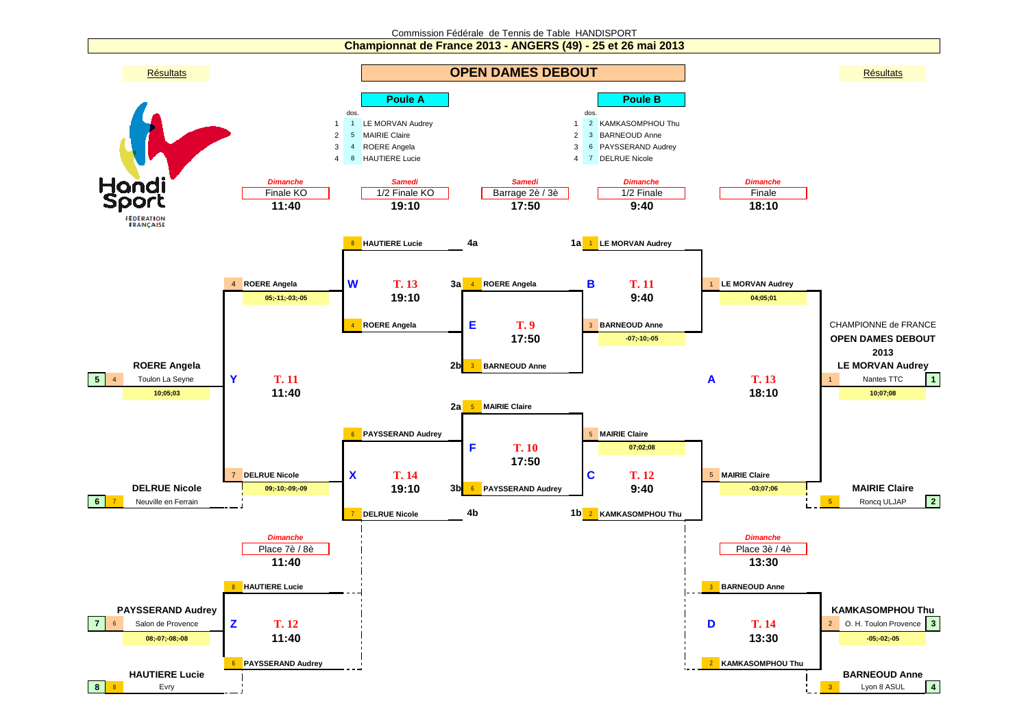## Commission Fédérale de Tennis de Table HANDISPORT

**Championnat de France 2013 - ANGERS (49) - 25 et 26 mai 2013**